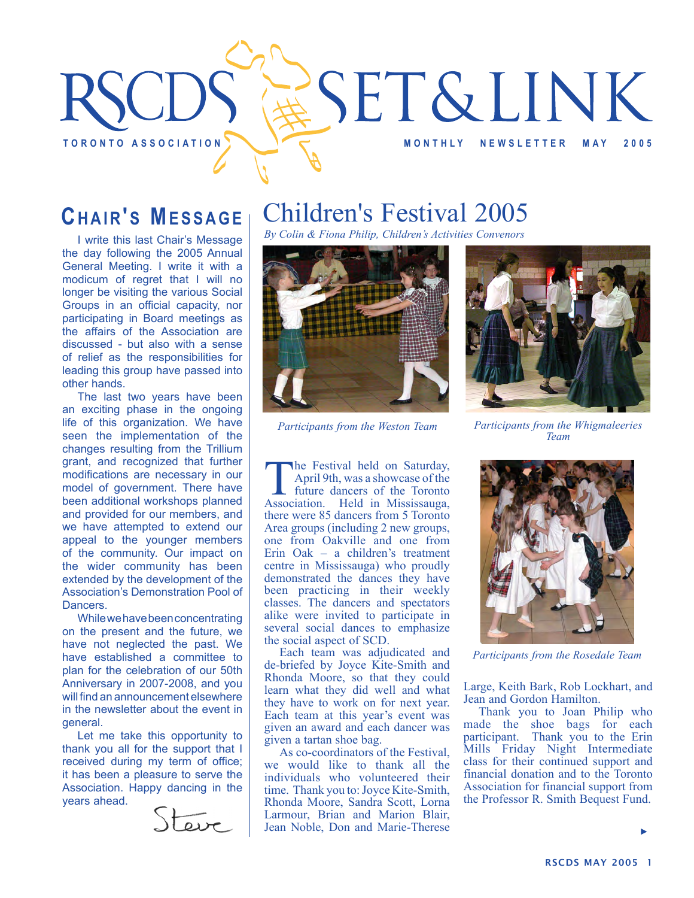

## **CHAIR'S MESSAGE**

I write this last Chair's Message the day following the 2005 Annual General Meeting. I write it with a modicum of regret that I will no longer be visiting the various Social Groups in an official capacity, nor participating in Board meetings as the affairs of the Association are discussed - but also with a sense of relief as the responsibilities for leading this group have passed into other hands.

The last two years have been an exciting phase in the ongoing life of this organization. We have seen the implementation of the changes resulting from the Trillium grant, and recognized that further modifications are necessary in our model of government. There have been additional workshops planned and provided for our members, and we have attempted to extend our appeal to the younger members of the community. Our impact on the wider community has been extended by the development of the Association's Demonstration Pool of Dancers.

While we have been concentrating on the present and the future, we have not neglected the past. We have established a committee to plan for the celebration of our 50th Anniversary in 2007-2008, and you will find an announcement elsewhere in the newsletter about the event in general.

Let me take this opportunity to thank you all for the support that I received during my term of office; it has been a pleasure to serve the Association. Happy dancing in the years ahead.



# Children's Festival 2005

*By Colin & Fiona Philip, Children's Activities Convenors*



**The Festival held on Saturday,**<br>April 9th, was a showcase of the<br>future dancers of the Toronto<br>Association. Held in Mississauga, April 9th, was a showcase of the future dancers of the Toronto there were 85 dancers from 5 Toronto Area groups (including 2 new groups, one from Oakville and one from Erin Oak – a children's treatment centre in Mississauga) who proudly demonstrated the dances they have been practicing in their weekly classes. The dancers and spectators alike were invited to participate in several social dances to emphasize the social aspect of SCD.

Each team was adjudicated and de-briefed by Joyce Kite-Smith and Rhonda Moore, so that they could learn what they did well and what they have to work on for next year. Each team at this year's event was given an award and each dancer was given a tartan shoe bag.

As co-coordinators of the Festival, we would like to thank all the individuals who volunteered their time. Thank you to: Joyce Kite-Smith, Rhonda Moore, Sandra Scott, Lorna Larmour, Brian and Marion Blair, Jean Noble, Don and Marie-Therese



*Participants from the Weston Team Participants from the Whigmaleeries Team*



*Participants from the Rosedale Team*

Large, Keith Bark, Rob Lockhart, and Jean and Gordon Hamilton.

Thank you to Joan Philip who made the shoe bags for each participant. Thank you to the Erin Mills Friday Night Intermediate class for their continued support and financial donation and to the Toronto Association for financial support from the Professor R. Smith Bequest Fund.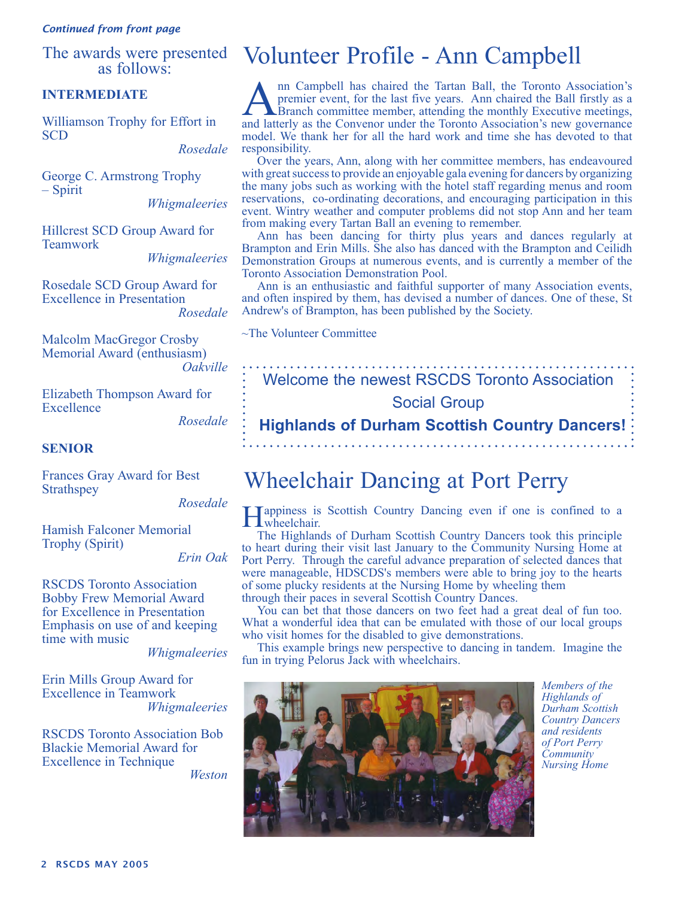#### *Continued from front page*

as follows:

### **INTERMEDIATE**

Williamson Trophy for Effort in SCD

*Rosedale*

George C. Armstrong Trophy – Spirit

*Whigmaleeries*

Hillcrest SCD Group Award for Teamwork

*Whigmaleeries*

Rosedale SCD Group Award for Excellence in Presentation *Rosedale*

Malcolm MacGregor Crosby Memorial Award (enthusiasm) *Oakville*

Elizabeth Thompson Award for **Excellence** 

*Rosedale*

#### **SENIOR**

Frances Gray Award for Best **Strathspey** 

*Rosedale*

Hamish Falconer Memorial Trophy (Spirit)

*Erin Oak*

RSCDS Toronto Association Bobby Frew Memorial Award for Excellence in Presentation Emphasis on use of and keeping time with music

*Whigmaleeries*

Erin Mills Group Award for Excellence in Teamwork *Whigmaleeries*

RSCDS Toronto Association Bob Blackie Memorial Award for Excellence in Technique

*Weston*

## The awards were presented Volunteer Profile - Ann Campbell

Ann Campbell has chaired the Tartan Ball, the Toronto Association's<br>
premier event, for the last five years. Ann chaired the Ball firstly as a<br>
Branch committee member, attending the monthly Executive meetings,<br>
and latter premier event, for the last five years. Ann chaired the Ball firstly as a and latterly as the Convenor under the Toronto Association's new governance model. We thank her for all the hard work and time she has devoted to that responsibility.

Over the years, Ann, along with her committee members, has endeavoured with great success to provide an enjoyable gala evening for dancers by organizing the many jobs such as working with the hotel staff regarding menus and room reservations, co-ordinating decorations, and encouraging participation in this event. Wintry weather and computer problems did not stop Ann and her team from making every Tartan Ball an evening to remember.

Ann has been dancing for thirty plus years and dances regularly at Brampton and Erin Mills. She also has danced with the Brampton and Ceilidh Demonstration Groups at numerous events, and is currently a member of the Toronto Association Demonstration Pool.

Ann is an enthusiastic and faithful supporter of many Association events, and often inspired by them, has devised a number of dances. One of these, St Andrew's of Brampton, has been published by the Society.

~The Volunteer Committee

Welcome the newest RSCDS Toronto Association Social Group

**Highlands of Durham Scottish Country Dancers!** 

## Wheelchair Dancing at Port Perry

Happiness is Scottish Country Dancing even if one is confined to a wheelchair.

The Highlands of Durham Scottish Country Dancers took this principle to heart during their visit last January to the Community Nursing Home at Port Perry. Through the careful advance preparation of selected dances that were manageable, HDSCDS's members were able to bring joy to the hearts of some plucky residents at the Nursing Home by wheeling them through their paces in several Scottish Country Dances.

You can bet that those dancers on two feet had a great deal of fun too. What a wonderful idea that can be emulated with those of our local groups who visit homes for the disabled to give demonstrations.

This example brings new perspective to dancing in tandem. Imagine the fun in trying Pelorus Jack with wheelchairs.



*Members of the Highlands of Durham Scottish Country Dancers and residents of Port Perry Community Nursing Home*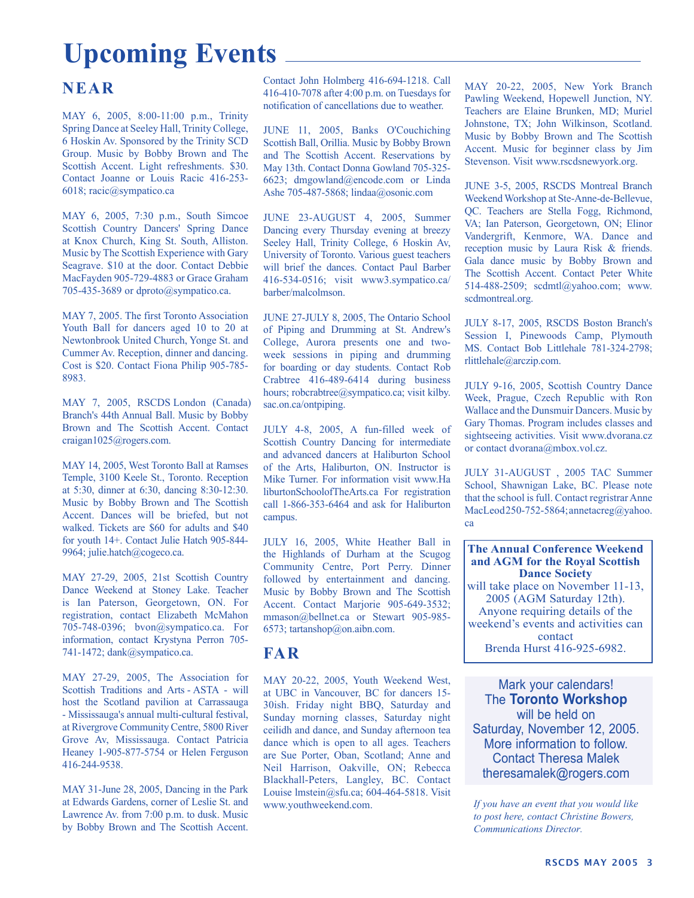# **Upcoming Events**

### **NEAR**

MAY 6, 2005, 8:00-11:00 p.m., Trinity Spring Dance at Seeley Hall, Trinity College, 6 Hoskin Av. Sponsored by the Trinity SCD Group. Music by Bobby Brown and The Scottish Accent. Light refreshments. \$30. Contact Joanne or Louis Racic 416-253- 6018; racic@sympatico.ca

MAY 6, 2005, 7:30 p.m., South Simcoe Scottish Country Dancers' Spring Dance at Knox Church, King St. South, Alliston. Music by The Scottish Experience with Gary Seagrave. \$10 at the door. Contact Debbie MacFayden 905-729-4883 or Grace Graham 705-435-3689 or dproto@sympatico.ca.

MAY 7, 2005. The first Toronto Association Youth Ball for dancers aged 10 to 20 at Newtonbrook United Church, Yonge St. and Cummer Av. Reception, dinner and dancing. Cost is \$20. Contact Fiona Philip 905-785- 8983.

MAY 7, 2005, RSCDS London (Canada) Branch's 44th Annual Ball. Music by Bobby Brown and The Scottish Accent. Contact craigan1025@rogers.com.

MAY 14, 2005, West Toronto Ball at Ramses Temple, 3100 Keele St., Toronto. Reception at 5:30, dinner at 6:30, dancing 8:30-12:30. Music by Bobby Brown and The Scottish Accent. Dances will be briefed, but not walked. Tickets are \$60 for adults and \$40 for youth 14+. Contact Julie Hatch 905-844- 9964; julie.hatch@cogeco.ca.

MAY 27-29, 2005, 21st Scottish Country Dance Weekend at Stoney Lake. Teacher is Ian Paterson, Georgetown, ON. For registration, contact Elizabeth McMahon 705-748-0396; bvon@sympatico.ca. For information, contact Krystyna Perron 705- 741-1472; dank@sympatico.ca.

MAY 27-29, 2005, The Association for Scottish Traditions and Arts - ASTA - will host the Scotland pavilion at Carrassauga - Mississauga's annual multi-cultural festival, at Rivergrove Community Centre, 5800 River Grove Av, Mississauga. Contact Patricia Heaney 1-905-877-5754 or Helen Ferguson 416-244-9538.

MAY 31-June 28, 2005, Dancing in the Park at Edwards Gardens, corner of Leslie St. and Lawrence Av. from 7:00 p.m. to dusk. Music by Bobby Brown and The Scottish Accent.

Contact John Holmberg 416-694-1218. Call 416-410-7078 after 4:00 p.m. on Tuesdays for notification of cancellations due to weather.

JUNE 11, 2005, Banks O'Couchiching Scottish Ball, Orillia. Music by Bobby Brown and The Scottish Accent. Reservations by May 13th. Contact Donna Gowland 705-325- 6623; dmgowland@encode.com or Linda Ashe 705-487-5868; lindaa@osonic.com

JUNE 23-AUGUST 4, 2005, Summer Dancing every Thursday evening at breezy Seeley Hall, Trinity College, 6 Hoskin Av, University of Toronto. Various guest teachers will brief the dances. Contact Paul Barber 416-534-0516; visit www3.sympatico.ca/ barber/malcolmson.

JUNE 27-JULY 8, 2005, The Ontario School of Piping and Drumming at St. Andrew's College, Aurora presents one and twoweek sessions in piping and drumming for boarding or day students. Contact Rob Crabtree 416-489-6414 during business hours; robcrabtree@sympatico.ca; visit kilby. sac.on.ca/ontpiping.

JULY 4-8, 2005, A fun-filled week of Scottish Country Dancing for intermediate and advanced dancers at Haliburton School of the Arts, Haliburton, ON. Instructor is Mike Turner. For information visit www.Ha liburtonSchoolofTheArts.ca For registration call 1-866-353-6464 and ask for Haliburton campus.

JULY 16, 2005, White Heather Ball in the Highlands of Durham at the Scugog Community Centre, Port Perry. Dinner followed by entertainment and dancing. Music by Bobby Brown and The Scottish Accent. Contact Marjorie 905-649-3532; mmason@bellnet.ca or Stewart 905-985-6573; tartanshop@on.aibn.com.

### **FAR**

MAY 20-22, 2005, Youth Weekend West, at UBC in Vancouver, BC for dancers 15- 30ish. Friday night BBQ, Saturday and Sunday morning classes, Saturday night ceilidh and dance, and Sunday afternoon tea dance which is open to all ages. Teachers are Sue Porter, Oban, Scotland; Anne and Neil Harrison, Oakville, ON; Rebecca Blackhall-Peters, Langley, BC. Contact Louise lmstein@sfu.ca; 604-464-5818. Visit www.youthweekend.com.

MAY 20-22, 2005, New York Branch Pawling Weekend, Hopewell Junction, NY. Teachers are Elaine Brunken, MD; Muriel Johnstone, TX; John Wilkinson, Scotland. Music by Bobby Brown and The Scottish Accent. Music for beginner class by Jim Stevenson. Visit www.rscdsnewyork.org.

JUNE 3-5, 2005, RSCDS Montreal Branch Weekend Workshop at Ste-Anne-de-Bellevue, QC. Teachers are Stella Fogg, Richmond, VA; Ian Paterson, Georgetown, ON; Elinor Vandergrift, Kenmore, WA. Dance and reception music by Laura Risk & friends. Gala dance music by Bobby Brown and The Scottish Accent. Contact Peter White 514-488-2509; scdmtl@yahoo.com; www. scdmontreal.org.

JULY 8-17, 2005, RSCDS Boston Branch's Session I, Pinewoods Camp, Plymouth MS. Contact Bob Littlehale 781-324-2798; rlittlehale@arczip.com.

JULY 9-16, 2005, Scottish Country Dance Week, Prague, Czech Republic with Ron Wallace and the Dunsmuir Dancers. Music by Gary Thomas. Program includes classes and sightseeing activities. Visit www.dvorana.cz or contact dvorana@mbox.vol.cz.

JULY 31-AUGUST , 2005 TAC Summer School, Shawnigan Lake, BC. Please note that the school is full. Contact regristrar Anne MacLeod 250-752-5864; annetacreg@yahoo. ca

**The Annual Conference Weekend and AGM for the Royal Scottish Dance Society**  will take place on November 11-13, 2005 (AGM Saturday 12th). Anyone requiring details of the weekend's events and activities can contact Brenda Hurst 416-925-6982.

Mark your calendars! The **Toronto Workshop** will be held on Saturday, November 12, 2005. More information to follow. Contact Theresa Malek theresamalek@rogers.com

*If you have an event that you would like to post here, contact Christine Bowers, Communications Director.*